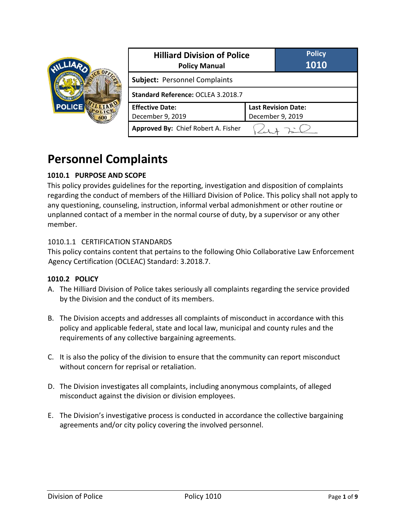

| <b>Hilliard Division of Police</b><br><b>Policy Manual</b> |                                                | <b>Policy</b><br>1010 |
|------------------------------------------------------------|------------------------------------------------|-----------------------|
| <b>Subject: Personnel Complaints</b>                       |                                                |                       |
| Standard Reference: OCLEA 3.2018.7                         |                                                |                       |
| <b>Effective Date:</b><br>December 9, 2019                 | <b>Last Revision Date:</b><br>December 9, 2019 |                       |
| Approved By: Chief Robert A. Fisher                        |                                                |                       |

# **Personnel Complaints**

# **1010.1 PURPOSE AND SCOPE**

This policy provides guidelines for the reporting, investigation and disposition of complaints regarding the conduct of members of the Hilliard Division of Police. This policy shall not apply to any questioning, counseling, instruction, informal verbal admonishment or other routine or unplanned contact of a member in the normal course of duty, by a supervisor or any other member.

### 1010.1.1 CERTIFICATION STANDARDS

This policy contains content that pertains to the following Ohio Collaborative Law Enforcement Agency Certification (OCLEAC) Standard: 3.2018.7.

### **1010.2 POLICY**

- A. The Hilliard Division of Police takes seriously all complaints regarding the service provided by the Division and the conduct of its members.
- B. The Division accepts and addresses all complaints of misconduct in accordance with this policy and applicable federal, state and local law, municipal and county rules and the requirements of any collective bargaining agreements.
- C. It is also the policy of the division to ensure that the community can report misconduct without concern for reprisal or retaliation.
- D. The Division investigates all complaints, including anonymous complaints, of alleged misconduct against the division or division employees.
- E. The Division's investigative process is conducted in accordance the collective bargaining agreements and/or city policy covering the involved personnel.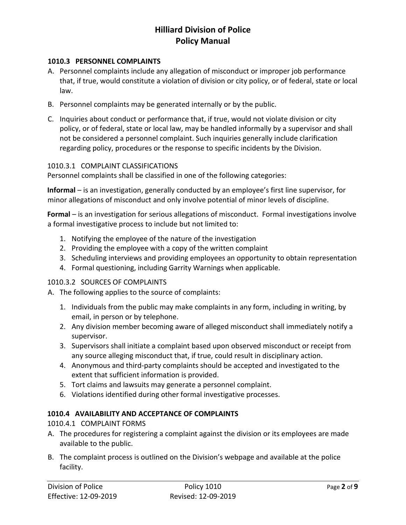#### **1010.3 PERSONNEL COMPLAINTS**

- A. Personnel complaints include any allegation of misconduct or improper job performance that, if true, would constitute a violation of division or city policy, or of federal, state or local law.
- B. Personnel complaints may be generated internally or by the public.
- C. Inquiries about conduct or performance that, if true, would not violate division or city policy, or of federal, state or local law, may be handled informally by a supervisor and shall not be considered a personnel complaint. Such inquiries generally include clarification regarding policy, procedures or the response to specific incidents by the Division.

#### 1010.3.1 COMPLAINT CLASSIFICATIONS

Personnel complaints shall be classified in one of the following categories:

**Informal** – is an investigation, generally conducted by an employee's first line supervisor, for minor allegations of misconduct and only involve potential of minor levels of discipline.

**Formal** – is an investigation for serious allegations of misconduct. Formal investigations involve a formal investigative process to include but not limited to:

- 1. Notifying the employee of the nature of the investigation
- 2. Providing the employee with a copy of the written complaint
- 3. Scheduling interviews and providing employees an opportunity to obtain representation
- 4. Formal questioning, including Garrity Warnings when applicable.

#### 1010.3.2 SOURCES OF COMPLAINTS

A. The following applies to the source of complaints:

- 1. Individuals from the public may make complaints in any form, including in writing, by email, in person or by telephone.
- 2. Any division member becoming aware of alleged misconduct shall immediately notify a supervisor.
- 3. Supervisors shall initiate a complaint based upon observed misconduct or receipt from any source alleging misconduct that, if true, could result in disciplinary action.
- 4. Anonymous and third-party complaints should be accepted and investigated to the extent that sufficient information is provided.
- 5. Tort claims and lawsuits may generate a personnel complaint.
- 6. Violations identified during other formal investigative processes.

#### **1010.4 AVAILABILITY AND ACCEPTANCE OF COMPLAINTS**

1010.4.1 COMPLAINT FORMS

- A. The procedures for registering a complaint against the division or its employees are made available to the public.
- B. The complaint process is outlined on the Division's webpage and available at the police facility.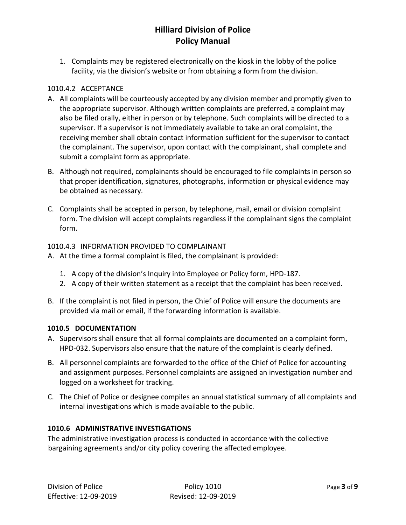1. Complaints may be registered electronically on the kiosk in the lobby of the police facility, via the division's website or from obtaining a form from the division.

### 1010.4.2 ACCEPTANCE

- A. All complaints will be courteously accepted by any division member and promptly given to the appropriate supervisor. Although written complaints are preferred, a complaint may also be filed orally, either in person or by telephone. Such complaints will be directed to a supervisor. If a supervisor is not immediately available to take an oral complaint, the receiving member shall obtain contact information sufficient for the supervisor to contact the complainant. The supervisor, upon contact with the complainant, shall complete and submit a complaint form as appropriate.
- B. Although not required, complainants should be encouraged to file complaints in person so that proper identification, signatures, photographs, information or physical evidence may be obtained as necessary.
- C. Complaints shall be accepted in person, by telephone, mail, email or division complaint form. The division will accept complaints regardless if the complainant signs the complaint form.

### 1010.4.3 INFORMATION PROVIDED TO COMPLAINANT

- A. At the time a formal complaint is filed, the complainant is provided:
	- 1. A copy of the division's Inquiry into Employee or Policy form, HPD-187.
	- 2. A copy of their written statement as a receipt that the complaint has been received.
- B. If the complaint is not filed in person, the Chief of Police will ensure the documents are provided via mail or email, if the forwarding information is available.

### **1010.5 DOCUMENTATION**

- A. Supervisors shall ensure that all formal complaints are documented on a complaint form, HPD-032. Supervisors also ensure that the nature of the complaint is clearly defined.
- B. All personnel complaints are forwarded to the office of the Chief of Police for accounting and assignment purposes. Personnel complaints are assigned an investigation number and logged on a worksheet for tracking.
- C. The Chief of Police or designee compiles an annual statistical summary of all complaints and internal investigations which is made available to the public.

# **1010.6 ADMINISTRATIVE INVESTIGATIONS**

The administrative investigation process is conducted in accordance with the collective bargaining agreements and/or city policy covering the affected employee.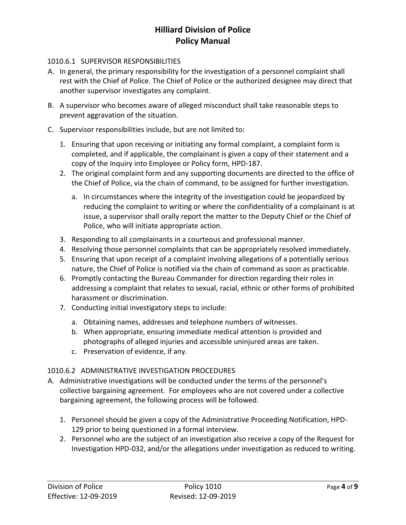#### 1010.6.1 SUPERVISOR RESPONSIBILITIES

- A. In general, the primary responsibility for the investigation of a personnel complaint shall rest with the Chief of Police. The Chief of Police or the authorized designee may direct that another supervisor investigates any complaint.
- B. A supervisor who becomes aware of alleged misconduct shall take reasonable steps to prevent aggravation of the situation.
- C. Supervisor responsibilities include, but are not limited to:
	- 1. Ensuring that upon receiving or initiating any formal complaint, a complaint form is completed, and if applicable, the complainant is given a copy of their statement and a copy of the Inquiry into Employee or Policy form, HPD-187.
	- 2. The original complaint form and any supporting documents are directed to the office of the Chief of Police, via the chain of command, to be assigned for further investigation.
		- a. In circumstances where the integrity of the investigation could be jeopardized by reducing the complaint to writing or where the confidentiality of a complainant is at issue, a supervisor shall orally report the matter to the Deputy Chief or the Chief of Police, who will initiate appropriate action.
	- 3. Responding to all complainants in a courteous and professional manner.
	- 4. Resolving those personnel complaints that can be appropriately resolved immediately.
	- 5. Ensuring that upon receipt of a complaint involving allegations of a potentially serious nature, the Chief of Police is notified via the chain of command as soon as practicable.
	- 6. Promptly contacting the Bureau Commander for direction regarding their roles in addressing a complaint that relates to sexual, racial, ethnic or other forms of prohibited harassment or discrimination.
	- 7. Conducting initial investigatory steps to include:
		- a. Obtaining names, addresses and telephone numbers of witnesses.
		- b. When appropriate, ensuring immediate medical attention is provided and photographs of alleged injuries and accessible uninjured areas are taken.
		- c. Preservation of evidence, if any.

### 1010.6.2 ADMINISTRATIVE INVESTIGATION PROCEDURES

- A. Administrative investigations will be conducted under the terms of the personnel's collective bargaining agreement. For employees who are not covered under a collective bargaining agreement, the following process will be followed.
	- 1. Personnel should be given a copy of the Administrative Proceeding Notification, HPD-129 prior to being questioned in a formal interview.
	- 2. Personnel who are the subject of an investigation also receive a copy of the Request for Investigation HPD-032, and/or the allegations under investigation as reduced to writing.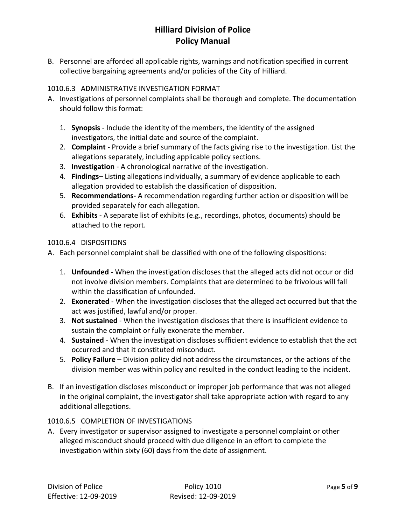B. Personnel are afforded all applicable rights, warnings and notification specified in current collective bargaining agreements and/or policies of the City of Hilliard.

# 1010.6.3 ADMINISTRATIVE INVESTIGATION FORMAT

- A. Investigations of personnel complaints shall be thorough and complete. The documentation should follow this format:
	- 1. **Synopsis** Include the identity of the members, the identity of the assigned investigators, the initial date and source of the complaint.
	- 2. **Complaint** Provide a brief summary of the facts giving rise to the investigation. List the allegations separately, including applicable policy sections.
	- 3. **Investigation**  A chronological narrative of the investigation.
	- 4. **Findings** Listing allegations individually, a summary of evidence applicable to each allegation provided to establish the classification of disposition.
	- 5. **Recommendations-** A recommendation regarding further action or disposition will be provided separately for each allegation.
	- 6. **Exhibits** A separate list of exhibits (e.g., recordings, photos, documents) should be attached to the report.

### 1010.6.4 DISPOSITIONS

A. Each personnel complaint shall be classified with one of the following dispositions:

- 1. **Unfounded** When the investigation discloses that the alleged acts did not occur or did not involve division members. Complaints that are determined to be frivolous will fall within the classification of unfounded.
- 2. **Exonerated** When the investigation discloses that the alleged act occurred but that the act was justified, lawful and/or proper.
- 3. **Not sustained** When the investigation discloses that there is insufficient evidence to sustain the complaint or fully exonerate the member.
- 4. **Sustained** When the investigation discloses sufficient evidence to establish that the act occurred and that it constituted misconduct.
- 5. **Policy Failure**  Division policy did not address the circumstances, or the actions of the division member was within policy and resulted in the conduct leading to the incident.
- B. If an investigation discloses misconduct or improper job performance that was not alleged in the original complaint, the investigator shall take appropriate action with regard to any additional allegations.

### 1010.6.5 COMPLETION OF INVESTIGATIONS

A. Every investigator or supervisor assigned to investigate a personnel complaint or other alleged misconduct should proceed with due diligence in an effort to complete the investigation within sixty (60) days from the date of assignment.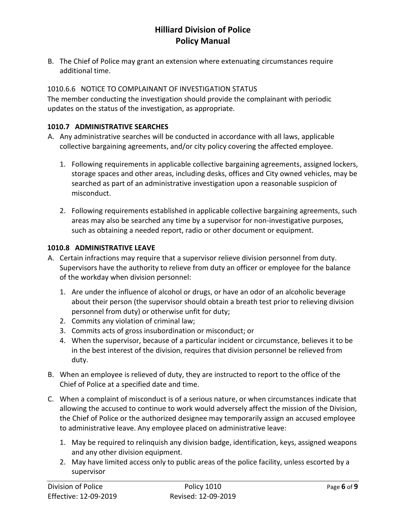B. The Chief of Police may grant an extension where extenuating circumstances require additional time.

### 1010.6.6 NOTICE TO COMPLAINANT OF INVESTIGATION STATUS

The member conducting the investigation should provide the complainant with periodic updates on the status of the investigation, as appropriate.

#### **1010.7 ADMINISTRATIVE SEARCHES**

- A. Any administrative searches will be conducted in accordance with all laws, applicable collective bargaining agreements, and/or city policy covering the affected employee.
	- 1. Following requirements in applicable collective bargaining agreements, assigned lockers, storage spaces and other areas, including desks, offices and City owned vehicles, may be searched as part of an administrative investigation upon a reasonable suspicion of misconduct.
	- 2. Following requirements established in applicable collective bargaining agreements, such areas may also be searched any time by a supervisor for non-investigative purposes, such as obtaining a needed report, radio or other document or equipment.

#### **1010.8 ADMINISTRATIVE LEAVE**

- A. Certain infractions may require that a supervisor relieve division personnel from duty. Supervisors have the authority to relieve from duty an officer or employee for the balance of the workday when division personnel:
	- 1. Are under the influence of alcohol or drugs, or have an odor of an alcoholic beverage about their person (the supervisor should obtain a breath test prior to relieving division personnel from duty) or otherwise unfit for duty;
	- 2. Commits any violation of criminal law;
	- 3. Commits acts of gross insubordination or misconduct; or
	- 4. When the supervisor, because of a particular incident or circumstance, believes it to be in the best interest of the division, requires that division personnel be relieved from duty.
- B. When an employee is relieved of duty, they are instructed to report to the office of the Chief of Police at a specified date and time.
- C. When a complaint of misconduct is of a serious nature, or when circumstances indicate that allowing the accused to continue to work would adversely affect the mission of the Division, the Chief of Police or the authorized designee may temporarily assign an accused employee to administrative leave. Any employee placed on administrative leave:
	- 1. May be required to relinquish any division badge, identification, keys, assigned weapons and any other division equipment.
	- 2. May have limited access only to public areas of the police facility, unless escorted by a supervisor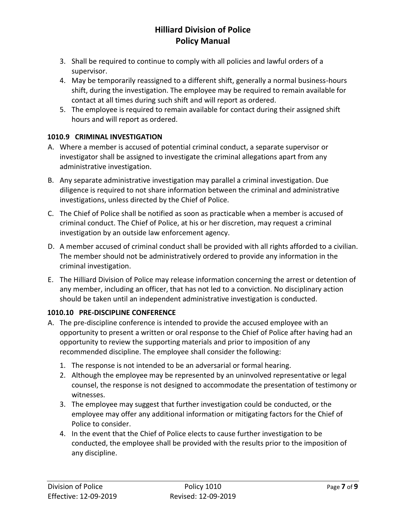- 3. Shall be required to continue to comply with all policies and lawful orders of a supervisor.
- 4. May be temporarily reassigned to a different shift, generally a normal business-hours shift, during the investigation. The employee may be required to remain available for contact at all times during such shift and will report as ordered.
- 5. The employee is required to remain available for contact during their assigned shift hours and will report as ordered.

# **1010.9 CRIMINAL INVESTIGATION**

- A. Where a member is accused of potential criminal conduct, a separate supervisor or investigator shall be assigned to investigate the criminal allegations apart from any administrative investigation.
- B. Any separate administrative investigation may parallel a criminal investigation. Due diligence is required to not share information between the criminal and administrative investigations, unless directed by the Chief of Police.
- C. The Chief of Police shall be notified as soon as practicable when a member is accused of criminal conduct. The Chief of Police, at his or her discretion, may request a criminal investigation by an outside law enforcement agency.
- D. A member accused of criminal conduct shall be provided with all rights afforded to a civilian. The member should not be administratively ordered to provide any information in the criminal investigation.
- E. The Hilliard Division of Police may release information concerning the arrest or detention of any member, including an officer, that has not led to a conviction. No disciplinary action should be taken until an independent administrative investigation is conducted.

### **1010.10 PRE-DISCIPLINE CONFERENCE**

- A. The pre-discipline conference is intended to provide the accused employee with an opportunity to present a written or oral response to the Chief of Police after having had an opportunity to review the supporting materials and prior to imposition of any recommended discipline. The employee shall consider the following:
	- 1. The response is not intended to be an adversarial or formal hearing.
	- 2. Although the employee may be represented by an uninvolved representative or legal counsel, the response is not designed to accommodate the presentation of testimony or witnesses.
	- 3. The employee may suggest that further investigation could be conducted, or the employee may offer any additional information or mitigating factors for the Chief of Police to consider.
	- 4. In the event that the Chief of Police elects to cause further investigation to be conducted, the employee shall be provided with the results prior to the imposition of any discipline.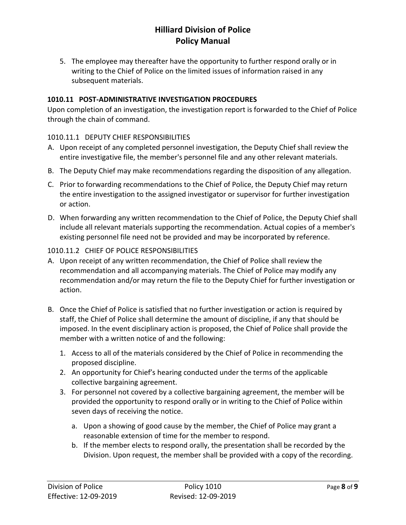5. The employee may thereafter have the opportunity to further respond orally or in writing to the Chief of Police on the limited issues of information raised in any subsequent materials.

### **1010.11 POST-ADMINISTRATIVE INVESTIGATION PROCEDURES**

Upon completion of an investigation, the investigation report is forwarded to the Chief of Police through the chain of command.

### 1010.11.1 DEPUTY CHIEF RESPONSIBILITIES

- A. Upon receipt of any completed personnel investigation, the Deputy Chief shall review the entire investigative file, the member's personnel file and any other relevant materials.
- B. The Deputy Chief may make recommendations regarding the disposition of any allegation.
- C. Prior to forwarding recommendations to the Chief of Police, the Deputy Chief may return the entire investigation to the assigned investigator or supervisor for further investigation or action.
- D. When forwarding any written recommendation to the Chief of Police, the Deputy Chief shall include all relevant materials supporting the recommendation. Actual copies of a member's existing personnel file need not be provided and may be incorporated by reference.

### 1010.11.2 CHIEF OF POLICE RESPONSIBILITIES

- A. Upon receipt of any written recommendation, the Chief of Police shall review the recommendation and all accompanying materials. The Chief of Police may modify any recommendation and/or may return the file to the Deputy Chief for further investigation or action.
- B. Once the Chief of Police is satisfied that no further investigation or action is required by staff, the Chief of Police shall determine the amount of discipline, if any that should be imposed. In the event disciplinary action is proposed, the Chief of Police shall provide the member with a written notice of and the following:
	- 1. Access to all of the materials considered by the Chief of Police in recommending the proposed discipline.
	- 2. An opportunity for Chief's hearing conducted under the terms of the applicable collective bargaining agreement.
	- 3. For personnel not covered by a collective bargaining agreement, the member will be provided the opportunity to respond orally or in writing to the Chief of Police within seven days of receiving the notice.
		- a. Upon a showing of good cause by the member, the Chief of Police may grant a reasonable extension of time for the member to respond.
		- b. If the member elects to respond orally, the presentation shall be recorded by the Division. Upon request, the member shall be provided with a copy of the recording.